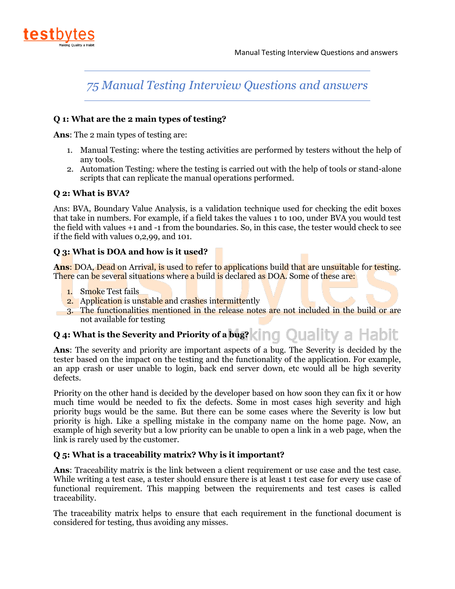

## **Q 1: What are the 2 main types of testing?**

**Ans**: The 2 main types of testing are:

- 1. Manual Testing: where the testing activities are performed by testers without the help of any tools.
- 2. Automation Testing: where the testing is carried out with the help of tools or stand-alone scripts that can replicate the manual operations performed.

## **Q 2: What is BVA?**

Ans: BVA, Boundary Value Analysis, is a validation technique used for checking the edit boxes that take in numbers. For example, if a field takes the values 1 to 100, under BVA you would test the field with values +1 and -1 from the boundaries. So, in this case, the tester would check to see if the field with values 0,2,99, and 101.

## **Q 3: What is DOA and how is it used?**

Ans: DOA, Dead on Arrival, is used to refer to applications build that are unsuitable for testing. There can be several situations where a build is declared as DOA. Some of these are:

- 1. Smoke Test fails
- 2. Application is unstable and crashes intermittently
- 3. The functionalities mentioned in the release notes are not included in the build or are not available for testing

## **Q 4: What is the Severity and Priority of a bug? (ing Quality a Habit**

**Ans**: The severity and priority are important aspects of a bug. The Severity is decided by the tester based on the impact on the testing and the functionality of the application. For example, an app crash or user unable to login, back end server down, etc would all be high severity defects.

Priority on the other hand is decided by the developer based on how soon they can fix it or how much time would be needed to fix the defects. Some in most cases high severity and high priority bugs would be the same. But there can be some cases where the Severity is low but priority is high. Like a spelling mistake in the company name on the home page. Now, an example of high severity but a low priority can be unable to open a link in a web page, when the link is rarely used by the customer.

## **Q 5: What is a traceability matrix? Why is it important?**

**Ans**: Traceability matrix is the link between a client requirement or use case and the test case. While writing a test case, a tester should ensure there is at least 1 test case for every use case of functional requirement. This mapping between the requirements and test cases is called traceability.

The traceability matrix helps to ensure that each requirement in the functional document is considered for testing, thus avoiding any misses.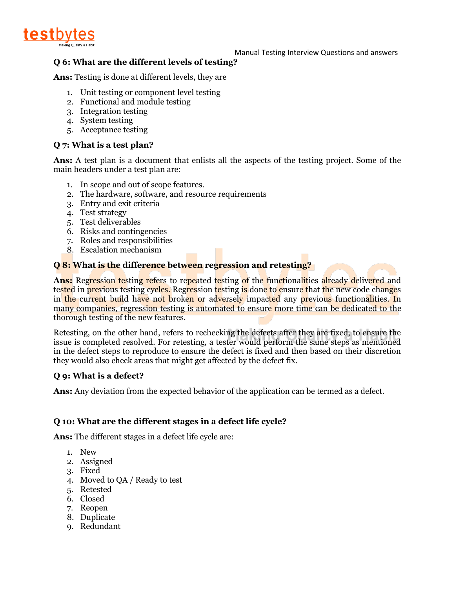

## **Q 6: What are the different levels of testing?**

**Ans:** Testing is done at different levels, they are

- 1. Unit testing or component level testing
- 2. Functional and module testing
- 3. Integration testing
- 4. System testing
- 5. Acceptance testing

## **Q 7: What is a test plan?**

**Ans:** A test plan is a document that enlists all the aspects of the testing project. Some of the main headers under a test plan are:

- 1. In scope and out of scope features.
- 2. The hardware, software, and resource requirements
- 3. Entry and exit criteria
- 4. Test strategy
- 5. Test deliverables
- 6. Risks and contingencies
- 7. Roles and responsibilities
- 8. Escalation mechanism

## **Q 8: What is the difference between regression and retesting?**

**Ans:** Regression testing refers to repeated testing of the functionalities already delivered and tested in previous testing cycles. Regression testing is done to ensure that the new code changes in the current build have not broken or adversely impacted any previous functionalities. In many companies, regression testing is automated to ensure more time can be dedicated to the thorough testing of the new features.

Retesting, on the other hand, refers to rechecking the defects after they are fixed, to ensure the issue is completed resolved. For retesting, a tester would perform the same steps as mentioned in the defect steps to reproduce to ensure the defect is fixed and then based on their discretion they would also check areas that might get affected by the defect fix.

#### **Q 9: What is a defect?**

**Ans:** Any deviation from the expected behavior of the application can be termed as a defect.

## **Q 10: What are the different stages in a defect life cycle?**

**Ans:** The different stages in a defect life cycle are:

- 1. New
- 2. Assigned
- 3. Fixed
- 4. Moved to QA / Ready to test
- 5. Retested
- 6. Closed
- 7. Reopen
- 8. Duplicate
- 9. Redundant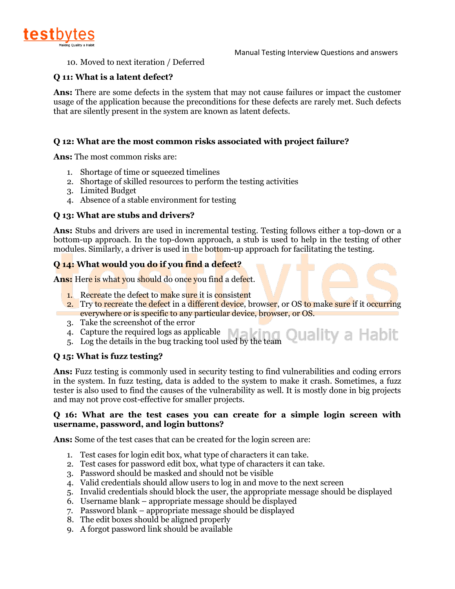

10. Moved to next iteration / Deferred

## **Q 11: What is a latent defect?**

**Ans:** There are some defects in the system that may not cause failures or impact the customer usage of the application because the preconditions for these defects are rarely met. Such defects that are silently present in the system are known as latent defects.

## **Q 12: What are the most common risks associated with project failure?**

**Ans:** The most common risks are:

- 1. Shortage of time or squeezed timelines
- 2. Shortage of skilled resources to perform the testing activities
- 3. Limited Budget
- 4. Absence of a stable environment for testing

#### **Q 13: What are stubs and drivers?**

**Ans:** Stubs and drivers are used in incremental testing. Testing follows either a top-down or a bottom-up approach. In the top-down approach, a stub is used to help in the testing of other modules. Similarly, a driver is used in the bottom-up approach for facilitating the testing.

#### **Q 14: What would you do if you find a defect?**

Ans: Here is what you should do once you find a defect.

- 1. Recreate the defect to make sure it is consistent
- 2. Try to recreate the defect in a different device, browser, or OS to make sure if it occurring everywhere or is specific to any particular device, browser, or OS.
- 3. Take the screenshot of the error
- 4. Capture the required logs as applicable  $\Box$ 4. Capture the required logs as applicable<br>5. Log the details in the bug tracking tool used by the team QUALITY A HADIT
- 

#### **Q 15: What is fuzz testing?**

**Ans:** Fuzz testing is commonly used in security testing to find vulnerabilities and coding errors in the system. In fuzz testing, data is added to the system to make it crash. Sometimes, a fuzz tester is also used to find the causes of the vulnerability as well. It is mostly done in big projects and may not prove cost-effective for smaller projects.

#### **Q 16: What are the test cases you can create for a simple login screen with username, password, and login buttons?**

**Ans:** Some of the test cases that can be created for the login screen are:

- 1. Test cases for login edit box, what type of characters it can take.
- 2. Test cases for password edit box, what type of characters it can take.
- 3. Password should be masked and should not be visible
- 4. Valid credentials should allow users to log in and move to the next screen
- 5. Invalid credentials should block the user, the appropriate message should be displayed
- 6. Username blank appropriate message should be displayed
- 7. Password blank appropriate message should be displayed
- 8. The edit boxes should be aligned properly
- 9. A forgot password link should be available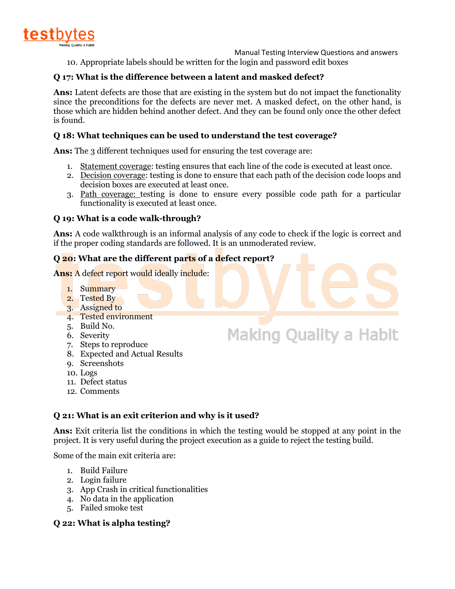

 Manual Testing Interview Questions and answers 10. Appropriate labels should be written for the login and password edit boxes

## **Q 17: What is the difference between a latent and masked defect?**

**Ans:** Latent defects are those that are existing in the system but do not impact the functionality since the preconditions for the defects are never met. A masked defect, on the other hand, is those which are hidden behind another defect. And they can be found only once the other defect is found.

## **Q 18: What techniques can be used to understand the test coverage?**

Ans: The 3 different techniques used for ensuring the test coverage are:

- 1. Statement coverage: testing ensures that each line of the code is executed at least once.
- 2. Decision coverage: testing is done to ensure that each path of the decision code loops and decision boxes are executed at least once.
- 3. Path coverage: testing is done to ensure every possible code path for a particular functionality is executed at least once.

## **Q 19: What is a code walk-through?**

**Ans:** A code walkthrough is an informal analysis of any code to check if the logic is correct and if the proper coding standards are followed. It is an unmoderated review.

**Making Quality a Habit** 

## **Q 20: What are the different parts of a defect report?**

**Ans:** A defect report would ideally include:

- 1. Summary
- 2. Tested By
- 3. Assigned to
- 4. Tested environment
- 5. Build No.
- 6. Severity
- 7. Steps to reproduce
- 8. Expected and Actual Results
- 9. Screenshots
- 10. Logs
- 11. Defect status
- 12. Comments

## **Q 21: What is an exit criterion and why is it used?**

**Ans:** Exit criteria list the conditions in which the testing would be stopped at any point in the project. It is very useful during the project execution as a guide to reject the testing build.

Some of the main exit criteria are:

- 1. Build Failure
- 2. Login failure
- 3. App Crash in critical functionalities
- 4. No data in the application
- 5. Failed smoke test

## **Q 22: What is alpha testing?**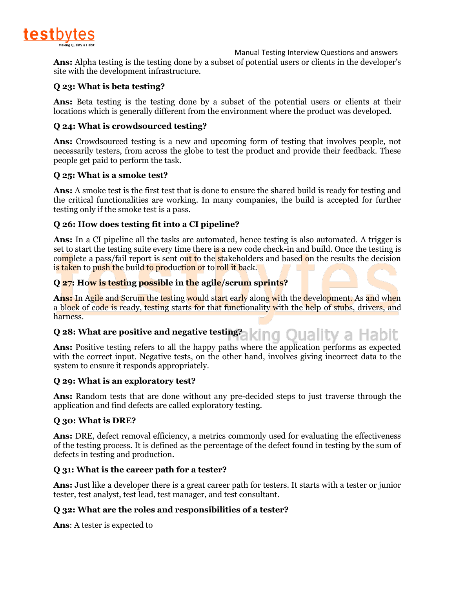

**Ans:** Alpha testing is the testing done by a subset of potential users or clients in the developer's site with the development infrastructure.

## **Q 23: What is beta testing?**

Ans: Beta testing is the testing done by a subset of the potential users or clients at their locations which is generally different from the environment where the product was developed.

## **Q 24: What is crowdsourced testing?**

**Ans:** Crowdsourced testing is a new and upcoming form of testing that involves people, not necessarily testers, from across the globe to test the product and provide their feedback. These people get paid to perform the task.

## **Q 25: What is a smoke test?**

**Ans:** A smoke test is the first test that is done to ensure the shared build is ready for testing and the critical functionalities are working. In many companies, the build is accepted for further testing only if the smoke test is a pass.

## **Q 26: How does testing fit into a CI pipeline?**

**Ans:** In a CI pipeline all the tasks are automated, hence testing is also automated. A trigger is set to start the testing suite every time there is a new code check-in and build. Once the testing is complete a pass/fail report is sent out to the stakeholders and based on the results the decision is taken to push the build to production or to roll it back.

## **Q 27: How is testing possible in the agile/scrum sprints?**

**Ans:** In Agile and Scrum the testing would start early along with the development. As and when a block of code is ready, testing starts for that functionality with the help of stubs, drivers, and harness.

#### **Q 28: What are positive and negative testing?** ng Quality a Habit

**Ans:** Positive testing refers to all the happy paths where the application performs as expected with the correct input. Negative tests, on the other hand, involves giving incorrect data to the system to ensure it responds appropriately.

## **Q 29: What is an exploratory test?**

**Ans:** Random tests that are done without any pre-decided steps to just traverse through the application and find defects are called exploratory testing.

## **Q 30: What is DRE?**

**Ans:** DRE, defect removal efficiency, a metrics commonly used for evaluating the effectiveness of the testing process. It is defined as the percentage of the defect found in testing by the sum of defects in testing and production.

## **Q 31: What is the career path for a tester?**

**Ans:** Just like a developer there is a great career path for testers. It starts with a tester or junior tester, test analyst, test lead, test manager, and test consultant.

## **Q 32: What are the roles and responsibilities of a tester?**

**Ans**: A tester is expected to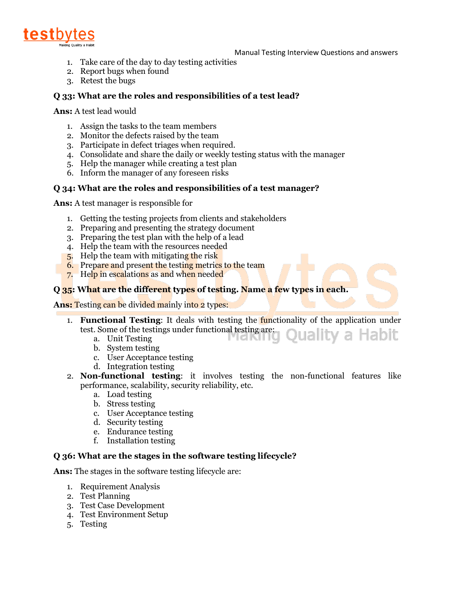

- 1. Take care of the day to day testing activities
- 2. Report bugs when found
- 3. Retest the bugs

## **Q 33: What are the roles and responsibilities of a test lead?**

**Ans:** A test lead would

- 1. Assign the tasks to the team members
- 2. Monitor the defects raised by the team
- 3. Participate in defect triages when required.
- 4. Consolidate and share the daily or weekly testing status with the manager
- 5. Help the manager while creating a test plan
- 6. Inform the manager of any foreseen risks

## **Q 34: What are the roles and responsibilities of a test manager?**

**Ans:** A test manager is responsible for

- 1. Getting the testing projects from clients and stakeholders
- 2. Preparing and presenting the strategy document
- 3. Preparing the test plan with the help of a lead
- 4. Help the team with the resources needed
- 5. Help the team with mitigating the risk
- 6. Prepare and present the testing metrics to the team
- 7. Help in escalations as and when needed

## **Q 35: What are the different types of testing. Name a few types in each.**

**Ans:** Testing can be divided mainly into 2 types:

- 1. **Functional Testing**: It deals with testing the functionality of the application under test. Some of the testings under functional testing are:<br>a. Unit Testing **Ouality a Habit** 
	- a. Unit Testing
	- b. System testing
	- c. User Acceptance testing
	- d. Integration testing
- 2. **Non-functional testing**: it involves testing the non-functional features like performance, scalability, security reliability, etc.
	- a. Load testing
	- b. Stress testing
	- c. User Acceptance testing
	- d. Security testing
	- e. Endurance testing
	- f. Installation testing

## **Q 36: What are the stages in the software testing lifecycle?**

**Ans:** The stages in the software testing lifecycle are:

- 1. Requirement Analysis
- 2. Test Planning
- 3. Test Case Development
- 4. Test Environment Setup
- 5. Testing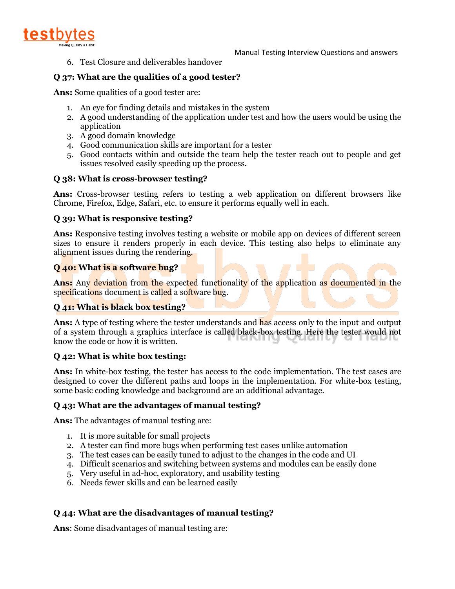

6. Test Closure and deliverables handover

## **Q 37: What are the qualities of a good tester?**

**Ans:** Some qualities of a good tester are:

- 1. An eye for finding details and mistakes in the system
- 2. A good understanding of the application under test and how the users would be using the application
- 3. A good domain knowledge
- 4. Good communication skills are important for a tester
- 5. Good contacts within and outside the team help the tester reach out to people and get issues resolved easily speeding up the process.

## **Q 38: What is cross-browser testing?**

**Ans:** Cross-browser testing refers to testing a web application on different browsers like Chrome, Firefox, Edge, Safari, etc. to ensure it performs equally well in each.

## **Q 39: What is responsive testing?**

**Ans:** Responsive testing involves testing a website or mobile app on devices of different screen sizes to ensure it renders properly in each device. This testing also helps to eliminate any alignment issues during the rendering.

## **Q 40: What is a software bug?**

**Ans:** Any deviation from the expected functionality of the application as documented in the specifications document is called a software bug.

## **Q 41: What is black box testing?**

**Ans:** A type of testing where the tester understands and has access only to the input and output of a system through a graphics interface is called black-box testing. Here the tester would not know the code or how it is written.

## **Q 42: What is white box testing:**

**Ans:** In white-box testing, the tester has access to the code implementation. The test cases are designed to cover the different paths and loops in the implementation. For white-box testing, some basic coding knowledge and background are an additional advantage.

## **Q 43: What are the advantages of manual testing?**

**Ans:** The advantages of manual testing are:

- 1. It is more suitable for small projects
- 2. A tester can find more bugs when performing test cases unlike automation
- 3. The test cases can be easily tuned to adjust to the changes in the code and UI
- 4. Difficult scenarios and switching between systems and modules can be easily done
- 5. Very useful in ad-hoc, exploratory, and usability testing
- 6. Needs fewer skills and can be learned easily

## **Q 44: What are the disadvantages of manual testing?**

**Ans**: Some disadvantages of manual testing are: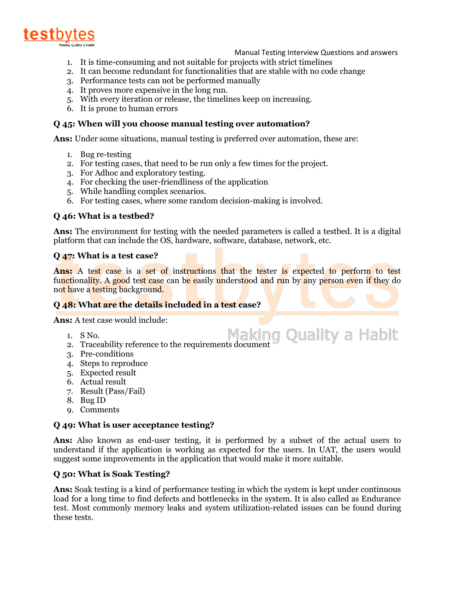

- 1. It is time-consuming and not suitable for projects with strict timelines
- 2. It can become redundant for functionalities that are stable with no code change
- 3. Performance tests can not be performed manually
- 4. It proves more expensive in the long run.
- 5. With every iteration or release, the timelines keep on increasing.
- 6. It is prone to human errors

## **Q 45: When will you choose manual testing over automation?**

**Ans:** Under some situations, manual testing is preferred over automation, these are:

- 1. Bug re-testing
- 2. For testing cases, that need to be run only a few times for the project.
- 3. For Adhoc and exploratory testing.
- 4. For checking the user-friendliness of the application
- 5. While handling complex scenarios.
- 6. For testing cases, where some random decision-making is involved.

## **Q 46: What is a testbed?**

**Ans:** The environment for testing with the needed parameters is called a testbed. It is a digital platform that can include the OS, hardware, software, database, network, etc.

#### **Q 47: What is a test case?**

**Ans:** A test case is a set of instructions that the tester is expected to perform to test functionality. A good test case can be easily understood and run by any person even if they do not have a testing background.

## **Q 48: What are the details included in a test case?**

**Ans:** A test case would include:

- 1. S No.
- 1. S No.<br>2. Traceability reference to the requirements document
- 3. Pre-conditions
- 4. Steps to reproduce
- 5. Expected result
- 6. Actual result
- 7. Result (Pass/Fail)
- 8. Bug ID
- 9. Comments

#### **Q 49: What is user acceptance testing?**

**Ans:** Also known as end-user testing, it is performed by a subset of the actual users to understand if the application is working as expected for the users. In UAT, the users would suggest some improvements in the application that would make it more suitable.

## **Q 50: What is Soak Testing?**

**Ans:** Soak testing is a kind of performance testing in which the system is kept under continuous load for a long time to find defects and bottlenecks in the system. It is also called as Endurance test. Most commonly memory leaks and system utilization-related issues can be found during these tests.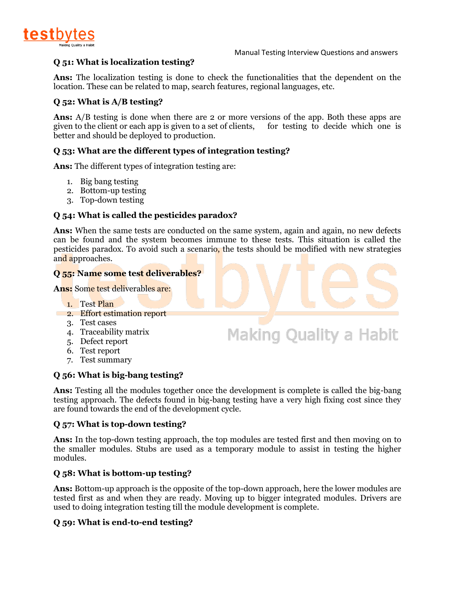

Making Quality a Habit

## **Q 51: What is localization testing?**

**Ans:** The localization testing is done to check the functionalities that the dependent on the location. These can be related to map, search features, regional languages, etc.

## **Q 52: What is A/B testing?**

**Ans:** A/B testing is done when there are 2 or more versions of the app. Both these apps are given to the client or each app is given to a set of clients, for testing to decide which one is better and should be deployed to production.

## **Q 53: What are the different types of integration testing?**

**Ans:** The different types of integration testing are:

- 1. Big bang testing
- 2. Bottom-up testing
- 3. Top-down testing

## **Q 54: What is called the pesticides paradox?**

**Ans:** When the same tests are conducted on the same system, again and again, no new defects can be found and the system becomes immune to these tests. This situation is called the pesticides paradox. To avoid such a scenario, the tests should be modified with new strategies and approaches.

#### **Q 55: Name some test deliverables?**

**Ans:** Some test deliverables are:

- 1. Test Plan
- 2. Effort estimation report
- 3. Test cases
- 4. Traceability matrix
- 5. Defect report
- 6. Test report
- 7. Test summary

## **Q 56: What is big-bang testing?**

**Ans:** Testing all the modules together once the development is complete is called the big-bang testing approach. The defects found in big-bang testing have a very high fixing cost since they are found towards the end of the development cycle.

#### **Q 57: What is top-down testing?**

**Ans:** In the top-down testing approach, the top modules are tested first and then moving on to the smaller modules. Stubs are used as a temporary module to assist in testing the higher modules.

## **Q 58: What is bottom-up testing?**

**Ans:** Bottom-up approach is the opposite of the top-down approach, here the lower modules are tested first as and when they are ready. Moving up to bigger integrated modules. Drivers are used to doing integration testing till the module development is complete.

## **Q 59: What is end-to-end testing?**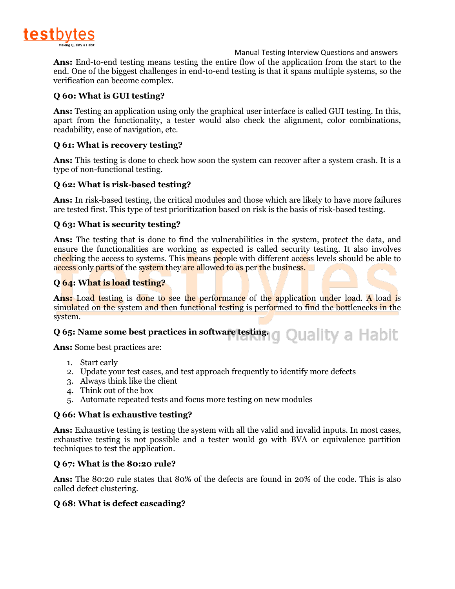

**Ans:** End-to-end testing means testing the entire flow of the application from the start to the end. One of the biggest challenges in end-to-end testing is that it spans multiple systems, so the verification can become complex.

## **Q 60: What is GUI testing?**

**Ans:** Testing an application using only the graphical user interface is called GUI testing. In this, apart from the functionality, a tester would also check the alignment, color combinations, readability, ease of navigation, etc.

## **Q 61: What is recovery testing?**

**Ans:** This testing is done to check how soon the system can recover after a system crash. It is a type of non-functional testing.

## **Q 62: What is risk-based testing?**

**Ans:** In risk-based testing, the critical modules and those which are likely to have more failures are tested first. This type of test prioritization based on risk is the basis of risk-based testing.

## **Q 63: What is security testing?**

**Ans:** The testing that is done to find the vulnerabilities in the system, protect the data, and ensure the functionalities are working as expected is called security testing. It also involves checking the access to systems. This means people with different access levels should be able to access only parts of the system they are allowed to as per the business.

## **Q 64: What is load testing?**

**Ans:** Load testing is done to see the performance of the application under load. A load is simulated on the system and then functional testing is performed to find the bottlenecks in the system.

# **Q 65: Name some best practices in software testing.**

**Ans:** Some best practices are:

- 1. Start early
- 2. Update your test cases, and test approach frequently to identify more defects
- 3. Always think like the client
- 4. Think out of the box
- 5. Automate repeated tests and focus more testing on new modules

## **Q 66: What is exhaustive testing?**

**Ans:** Exhaustive testing is testing the system with all the valid and invalid inputs. In most cases, exhaustive testing is not possible and a tester would go with BVA or equivalence partition techniques to test the application.

## **Q 67: What is the 80:20 rule?**

**Ans:** The 80:20 rule states that 80% of the defects are found in 20% of the code. This is also called defect clustering.

## **Q 68: What is defect cascading?**